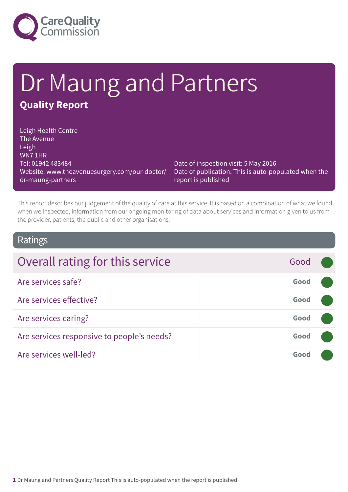

# Dr Maung and Partners **Quality Report**

Leigh Health Centre The Avenue Leigh WN7 1HR Tel: 01942 483484 Website: www.theavenuesurgery.com/our-doctor/ dr-maung-partners

Date of inspection visit: 5 May 2016 Date of publication: This is auto-populated when the report is published

This report describes our judgement of the quality of care at this service. It is based on a combination of what we found when we inspected, information from our ongoing monitoring of data about services and information given to us from the provider, patients, the public and other organisations.

### Ratings

| Overall rating for this service            | Good |  |
|--------------------------------------------|------|--|
| Are services safe?                         | Good |  |
| Are services effective?                    | Good |  |
| Are services caring?                       | Good |  |
| Are services responsive to people's needs? | Good |  |
| Are services well-led?                     | Good |  |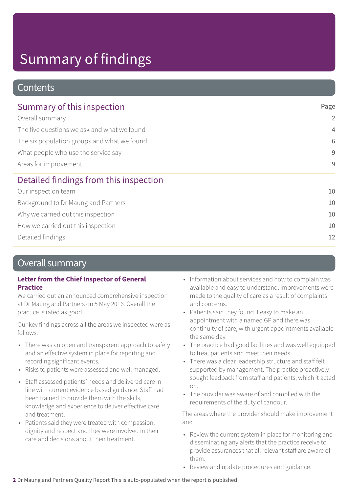### **Contents**

| Summary of this inspection                                                                                                                                                    | Page           |
|-------------------------------------------------------------------------------------------------------------------------------------------------------------------------------|----------------|
| Overall summary<br>The five questions we ask and what we found<br>The six population groups and what we found<br>What people who use the service say<br>Areas for improvement | 2              |
|                                                                                                                                                                               | $\overline{4}$ |
|                                                                                                                                                                               | 6              |
|                                                                                                                                                                               | 9              |
|                                                                                                                                                                               | 9              |
| Detailed findings from this inspection                                                                                                                                        |                |
| Our inspection team                                                                                                                                                           | 10             |
| Background to Dr Maung and Partners                                                                                                                                           | 10             |
| Why we carried out this inspection                                                                                                                                            | 10             |
| How we carried out this inspection                                                                                                                                            | 10             |
| Detailed findings                                                                                                                                                             | 12             |

### Overall summary

#### **Letter from the Chief Inspector of General Practice**

We carried out an announced comprehensive inspection at Dr Maung and Partners on 5 May 2016. Overall the practice is rated as good.

Our key findings across all the areas we inspected were as follows:

- There was an open and transparent approach to safety and an effective system in place for reporting and recording significant events.
- Risks to patients were assessed and well managed.
- Staff assessed patients' needs and delivered care in line with current evidence based guidance. Staff had been trained to provide them with the skills, knowledge and experience to deliver effective care and treatment.
- Patients said they were treated with compassion, dignity and respect and they were involved in their care and decisions about their treatment.
- Information about services and how to complain was available and easy to understand. Improvements were made to the quality of care as a result of complaints and concerns.
- Patients said they found it easy to make an appointment with a named GP and there was continuity of care, with urgent appointments available the same day.
- The practice had good facilities and was well equipped to treat patients and meet their needs.
- There was a clear leadership structure and staff felt supported by management. The practice proactively sought feedback from staff and patients, which it acted on.
- The provider was aware of and complied with the requirements of the duty of candour.

The areas where the provider should make improvement are:

- Review the current system in place for monitoring and disseminating any alerts that the practice receive to provide assurances that all relevant staff are aware of them.
- Review and update procedures and guidance.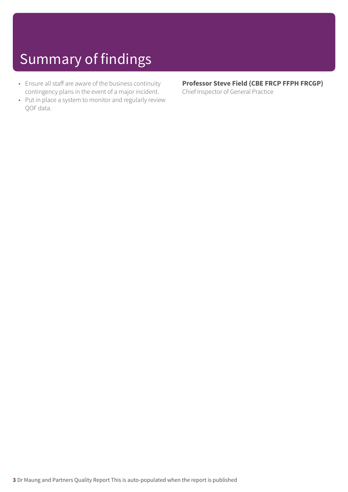- Ensure all staff are aware of the business continuity contingency plans in the event of a major incident.
- Put in place a system to monitor and regularly review QOF data.

### **Professor Steve Field (CBE FRCP FFPH FRCGP)**

Chief Inspector of General Practice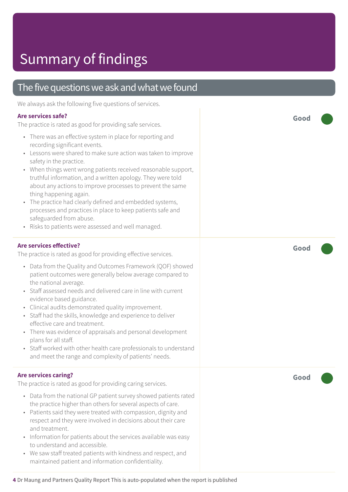### The five questions we ask and what we found

We always ask the following five questions of services.

#### **Are services safe?**

The practice is rated as good for providing safe services.

- There was an effective system in place for reporting and recording significant events.
- Lessons were shared to make sure action was taken to improve safety in the practice.
- When things went wrong patients received reasonable support, truthful information, and a written apology. They were told about any actions to improve processes to prevent the same thing happening again.
- The practice had clearly defined and embedded systems, processes and practices in place to keep patients safe and safeguarded from abuse.
- Risks to patients were assessed and well managed.

#### **Are services effective?**

The practice is rated as good for providing effective services.

- Data from the Quality and Outcomes Framework (QOF) showed patient outcomes were generally below average compared to the national average.
- Staff assessed needs and delivered care in line with current evidence based guidance.
- Clinical audits demonstrated quality improvement.
- Staff had the skills, knowledge and experience to deliver effective care and treatment.
- There was evidence of appraisals and personal development plans for all staff.
- Staff worked with other health care professionals to understand and meet the range and complexity of patients' needs.

#### **Are services caring?**

The practice is rated as good for providing caring services.

- Data from the national GP patient survey showed patients rated the practice higher than others for several aspects of care.
- Patients said they were treated with compassion, dignity and respect and they were involved in decisions about their care and treatment.
- Information for patients about the services available was easy to understand and accessible.
- We saw staff treated patients with kindness and respect, and maintained patient and information confidentiality.

**Good –––**

**Good –––**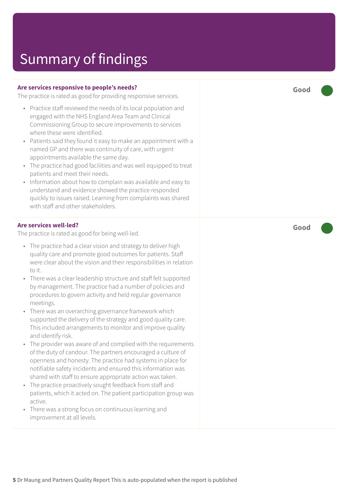#### **Are services responsive to people's needs?**

The practice is rated as good for providing responsive services.

- Practice staff reviewed the needs of its local population and engaged with the NHS England Area Team and Clinical Commissioning Group to secure improvements to services where these were identified.
- Patients said they found it easy to make an appointment with a named GP and there was continuity of care, with urgent appointments available the same day.
- The practice had good facilities and was well equipped to treat patients and meet their needs.
- Information about how to complain was available and easy to understand and evidence showed the practice responded quickly to issues raised. Learning from complaints was shared with staff and other stakeholders.

#### **Are services well-led?**

The practice is rated as good for being well-led.

- The practice had a clear vision and strategy to deliver high quality care and promote good outcomes for patients. Staff were clear about the vision and their responsibilities in relation to it.
- There was a clear leadership structure and staff felt supported by management. The practice had a number of policies and procedures to govern activity and held regular governance meetings.
- There was an overarching governance framework which supported the delivery of the strategy and good quality care. This included arrangements to monitor and improve quality and identify risk.
- The provider was aware of and complied with the requirements of the duty of candour. The partners encouraged a culture of openness and honesty. The practice had systems in place for notifiable safety incidents and ensured this information was shared with staff to ensure appropriate action was taken.
- The practice proactively sought feedback from staff and patients, which it acted on. The patient participation group was active.
- There was a strong focus on continuous learning and improvement at all levels.

**Good –––**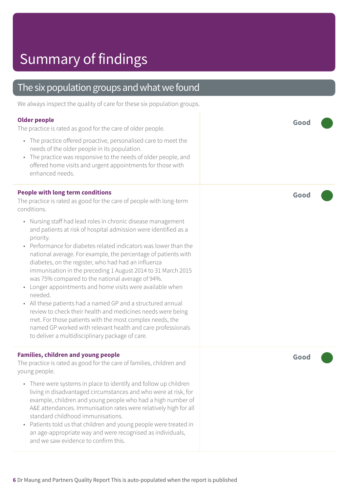### The six population groups and what we found

We always inspect the quality of care for these six population groups.

#### **Older people**

The practice is rated as good for the care of older people.

- The practice offered proactive, personalised care to meet the needs of the older people in its population.
- The practice was responsive to the needs of older people, and offered home visits and urgent appointments for those with enhanced needs.

#### **People with long term conditions**

The practice is rated as good for the care of people with long-term conditions.

- Nursing staff had lead roles in chronic disease management and patients at risk of hospital admission were identified as a priority.
- Performance for diabetes related indicators was lower than the national average. For example, the percentage of patients with diabetes, on the register, who had had an influenza immunisation in the preceding 1 August 2014 to 31 March 2015 was 75% compared to the national average of 94%.
- Longer appointments and home visits were available when needed.
- All these patients had a named GP and a structured annual review to check their health and medicines needs were being met. For those patients with the most complex needs, the named GP worked with relevant health and care professionals to deliver a multidisciplinary package of care.

#### **Families, children and young people**

The practice is rated as good for the care of families, children and young people.

- There were systems in place to identify and follow up children living in disadvantaged circumstances and who were at risk, for example, children and young people who had a high number of A&E attendances. Immunisation rates were relatively high for all standard childhood immunisations.
- Patients told us that children and young people were treated in an age-appropriate way and were recognised as individuals, and we saw evidence to confirm this.

**Good –––**

**Good –––**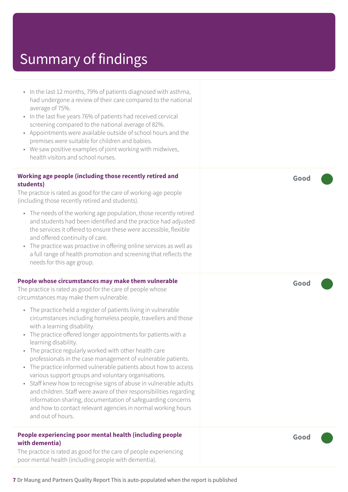• In the last 12 months, 79% of patients diagnosed with asthma, had undergone a review of their care compared to the national average of 75%. • In the last five years 76% of patients had received cervical screening compared to the national average of 82%. • Appointments were available outside of school hours and the premises were suitable for children and babies. • We saw positive examples of joint working with midwives, health visitors and school nurses. **Working age people (including those recently retired and students)** The practice is rated as good for the care of working-age people (including those recently retired and students). • The needs of the working age population, those recently retired and students had been identified and the practice had adjusted the services it offered to ensure these were accessible, flexible and offered continuity of care. • The practice was proactive in offering online services as well as a full range of health promotion and screening that reflects the needs for this age group. **People whose circumstances may make them vulnerable** The practice is rated as good for the care of people whose circumstances may make them vulnerable. • The practice held a register of patients living in vulnerable circumstances including homeless people, travellers and those with a learning disability. • The practice offered longer appointments for patients with a learning disability. • The practice regularly worked with other health care professionals in the case management of vulnerable patients. • The practice informed vulnerable patients about how to access various support groups and voluntary organisations. • Staff knew how to recognise signs of abuse in vulnerable adults and children. Staff were aware of their responsibilities regarding information sharing, documentation of safeguarding concerns and how to contact relevant agencies in normal working hours and out of hours. **People experiencing poor mental health (including people with dementia)**

The practice is rated as good for the care of people experiencing poor mental health (including people with dementia).

**Good –––**

**Good –––**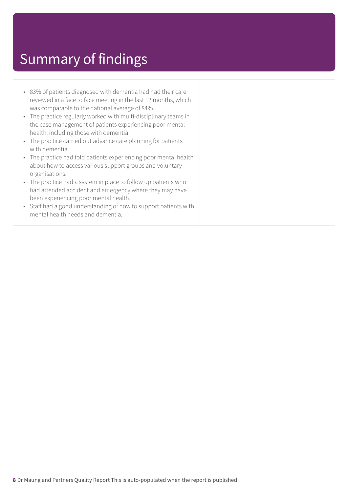- 83% of patients diagnosed with dementia had had their care reviewed in a face to face meeting in the last 12 months, which was comparable to the national average of 84%.
- The practice regularly worked with multi-disciplinary teams in the case management of patients experiencing poor mental health, including those with dementia.
- The practice carried out advance care planning for patients with dementia.
- The practice had told patients experiencing poor mental health about how to access various support groups and voluntary organisations.
- The practice had a system in place to follow up patients who had attended accident and emergency where they may have been experiencing poor mental health.
- Staff had a good understanding of how to support patients with mental health needs and dementia.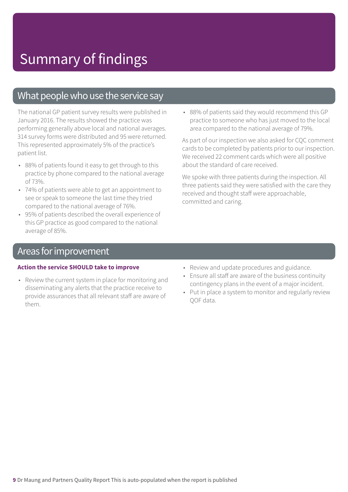### What people who use the service say

The national GP patient survey results were published in January 2016. The results showed the practice was performing generally above local and national averages. 314 survey forms were distributed and 95 were returned. This represented approximately 5% of the practice's patient list.

- 88% of patients found it easy to get through to this practice by phone compared to the national average of 73%.
- 74% of patients were able to get an appointment to see or speak to someone the last time they tried compared to the national average of 76%.
- 95% of patients described the overall experience of this GP practice as good compared to the national average of 85%.

• 88% of patients said they would recommend this GP practice to someone who has just moved to the local area compared to the national average of 79%.

As part of our inspection we also asked for CQC comment cards to be completed by patients prior to our inspection. We received 22 comment cards which were all positive about the standard of care received.

We spoke with three patients during the inspection. All three patients said they were satisfied with the care they received and thought staff were approachable, committed and caring.

### Areas for improvement

#### **Action the service SHOULD take to improve**

- Review the current system in place for monitoring and disseminating any alerts that the practice receive to provide assurances that all relevant staff are aware of them.
- Review and update procedures and guidance.
- Ensure all staff are aware of the business continuity contingency plans in the event of a major incident.
- Put in place a system to monitor and regularly review QOF data.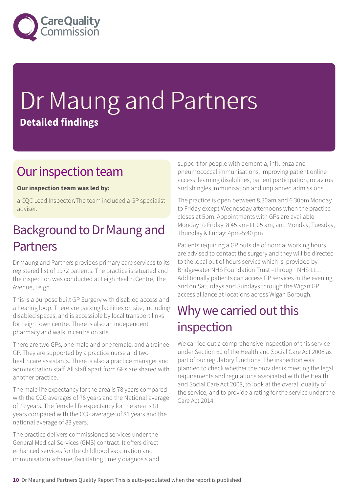

# Dr Maung and Partners **Detailed findings**

### Our inspection team

### **Our inspection team was led by:**

a CQC Lead Inspector**.**The team included a GP specialist adviser.

### Background to Dr Maung and Partners

Dr Maung and Partners provides primary care services to its registered list of 1972 patients. The practice is situated and the inspection was conducted at Leigh Health Centre, The Avenue, Leigh.

This is a purpose built GP Surgery with disabled access and a hearing loop. There are parking facilities on site, including disabled spaces, and is accessible by local transport links for Leigh town centre. There is also an independent pharmacy and walk in centre on site.

There are two GPs, one male and one female, and a trainee GP. They are supported by a practice nurse and two healthcare assistants. There is also a practice manager and administration staff. All staff apart from GPs are shared with another practice.

The male life expectancy for the area is 78 years compared with the CCG averages of 76 years and the National average of 79 years. The female life expectancy for the area is 81 years compared with the CCG averages of 81 years and the national average of 83 years.

The practice delivers commissioned services under the General Medical Services (GMS) contract. It offers direct enhanced services for the childhood vaccination and immunisation scheme, facilitating timely diagnosis and support for people with dementia, influenza and pneumococcal immunisations, improving patient online access, learning disabilities, patient participation, rotavirus and shingles immunisation and unplanned admissions.

The practice is open between 8.30am and 6.30pm Monday to Friday except Wednesday afternoons when the practice closes at 5pm. Appointments with GPs are available Monday to Friday: 8:45 am-11:05 am, and Monday, Tuesday, Thursday & Friday: 4pm-5:40 pm

Patients requiring a GP outside of normal working hours are advised to contact the surgery and they will be directed to the local out of hours service which is provided by Bridgewater NHS Foundation Trust –through NHS 111. Additionally patients can access GP services in the evening and on Saturdays and Sundays through the Wigan GP access alliance at locations across Wigan Borough.

### Why we carried out this inspection

We carried out a comprehensive inspection of this service under Section 60 of the Health and Social Care Act 2008 as part of our regulatory functions. The inspection was planned to check whether the provider is meeting the legal requirements and regulations associated with the Health and Social Care Act 2008, to look at the overall quality of the service, and to provide a rating for the service under the Care Act 2014.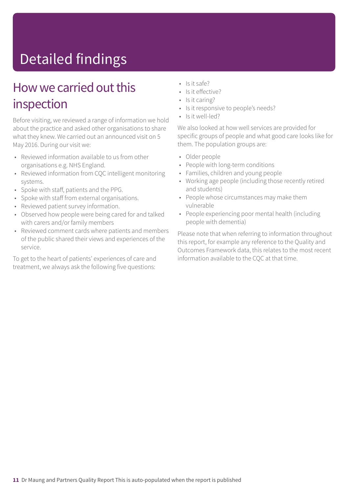# Detailed findings

### How we carried out this inspection

Before visiting, we reviewed a range of information we hold about the practice and asked other organisations to share what they knew. We carried out an announced visit on 5 May 2016. During our visit we:

- Reviewed information available to us from other organisations e.g. NHS England.
- Reviewed information from CQC intelligent monitoring systems.
- Spoke with staff, patients and the PPG.
- Spoke with staff from external organisations.
- Reviewed patient survey information.
- Observed how people were being cared for and talked with carers and/or family members
- Reviewed comment cards where patients and members of the public shared their views and experiences of the service.

To get to the heart of patients' experiences of care and treatment, we always ask the following five questions:

- Is it safe?
- Is it effective?
- Is it caring?
- Is it responsive to people's needs?
- Is it well-led?

We also looked at how well services are provided for specific groups of people and what good care looks like for them. The population groups are:

- Older people
- People with long-term conditions
- Families, children and young people
- Working age people (including those recently retired and students)
- People whose circumstances may make them vulnerable
- People experiencing poor mental health (including people with dementia)

Please note that when referring to information throughout this report, for example any reference to the Quality and Outcomes Framework data, this relates to the most recent information available to the CQC at that time.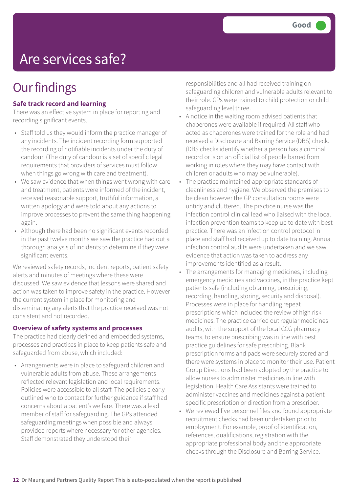## Are services safe?

## **Our findings**

### **Safe track record and learning**

There was an effective system in place for reporting and recording significant events.

- Staff told us they would inform the practice manager of any incidents. The incident recording form supported the recording of notifiable incidents under the duty of candour. (The duty of candour is a set of specific legal requirements that providers of services must follow when things go wrong with care and treatment).
- We saw evidence that when things went wrong with care and treatment, patients were informed of the incident, received reasonable support, truthful information, a written apology and were told about any actions to improve processes to prevent the same thing happening again.
- Although there had been no significant events recorded in the past twelve months we saw the practice had out a thorough analysis of incidents to determine if they were significant events.

We reviewed safety records, incident reports, patient safety alerts and minutes of meetings where these were discussed. We saw evidence that lessons were shared and action was taken to improve safety in the practice. However the current system in place for monitoring and disseminating any alerts that the practice received was not consistent and not recorded.

#### **Overview of safety systems and processes**

The practice had clearly defined and embedded systems, processes and practices in place to keep patients safe and safeguarded from abuse, which included:

• Arrangements were in place to safeguard children and vulnerable adults from abuse. These arrangements reflected relevant legislation and local requirements. Policies were accessible to all staff. The policies clearly outlined who to contact for further guidance if staff had concerns about a patient's welfare. There was a lead member of staff for safeguarding. The GPs attended safeguarding meetings when possible and always provided reports where necessary for other agencies. Staff demonstrated they understood their

responsibilities and all had received training on safeguarding children and vulnerable adults relevant to their role. GPs were trained to child protection or child safeguarding level three.

- A notice in the waiting room advised patients that chaperones were available if required. All staff who acted as chaperones were trained for the role and had received a Disclosure and Barring Service (DBS) check. (DBS checks identify whether a person has a criminal record or is on an official list of people barred from working in roles where they may have contact with children or adults who may be vulnerable).
- The practice maintained appropriate standards of cleanliness and hygiene. We observed the premises to be clean however the GP consultation rooms were untidy and cluttered. The practice nurse was the infection control clinical lead who liaised with the local infection prevention teams to keep up to date with best practice. There was an infection control protocol in place and staff had received up to date training. Annual infection control audits were undertaken and we saw evidence that action was taken to address any improvements identified as a result.
- The arrangements for managing medicines, including emergency medicines and vaccines, in the practice kept patients safe (including obtaining, prescribing, recording, handling, storing, security and disposal). Processes were in place for handling repeat prescriptions which included the review of high risk medicines. The practice carried out regular medicines audits, with the support of the local CCG pharmacy teams, to ensure prescribing was in line with best practice guidelines for safe prescribing. Blank prescription forms and pads were securely stored and there were systems in place to monitor their use. Patient Group Directions had been adopted by the practice to allow nurses to administer medicines in line with legislation. Health Care Assistants were trained to administer vaccines and medicines against a patient specific prescription or direction from a prescriber.
- We reviewed five personnel files and found appropriate recruitment checks had been undertaken prior to employment. For example, proof of identification, references, qualifications, registration with the appropriate professional body and the appropriate checks through the Disclosure and Barring Service.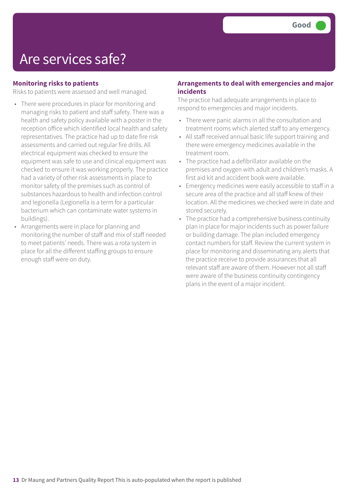### Are services safe?

### **Monitoring risks to patients**

Risks to patients were assessed and well managed.

- There were procedures in place for monitoring and managing risks to patient and staff safety. There was a health and safety policy available with a poster in the reception office which identified local health and safety representatives. The practice had up to date fire risk assessments and carried out regular fire drills. All electrical equipment was checked to ensure the equipment was safe to use and clinical equipment was checked to ensure it was working properly. The practice had a variety of other risk assessments in place to monitor safety of the premises such as control of substances hazardous to health and infection control and legionella (Legionella is a term for a particular bacterium which can contaminate water systems in buildings).
- Arrangements were in place for planning and monitoring the number of staff and mix of staff needed to meet patients' needs. There was a rota system in place for all the different staffing groups to ensure enough staff were on duty.

#### **Arrangements to deal with emergencies and major incidents**

The practice had adequate arrangements in place to respond to emergencies and major incidents.

- There were panic alarms in all the consultation and treatment rooms which alerted staff to any emergency.
- All staff received annual basic life support training and there were emergency medicines available in the treatment room.
- The practice had a defibrillator available on the premises and oxygen with adult and children's masks. A first aid kit and accident book were available.
- Emergency medicines were easily accessible to staff in a secure area of the practice and all staff knew of their location. All the medicines we checked were in date and stored securely.
- The practice had a comprehensive business continuity plan in place for major incidents such as power failure or building damage. The plan included emergency contact numbers for staff. Review the current system in place for monitoring and disseminating any alerts that the practice receive to provide assurances that all relevant staff are aware of them. However not all staff were aware of the business continuity contingency plans in the event of a major incident.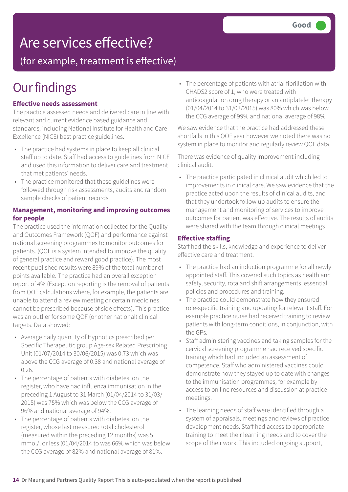## Are services effective?

(for example, treatment is effective)

## **Our findings**

### **Effective needs assessment**

The practice assessed needs and delivered care in line with relevant and current evidence based guidance and standards, including National Institute for Health and Care Excellence (NICE) best practice guidelines.

- The practice had systems in place to keep all clinical staff up to date. Staff had access to guidelines from NICE and used this information to deliver care and treatment that met patients' needs.
- The practice monitored that these guidelines were followed through risk assessments, audits and random sample checks of patient records.

### **Management, monitoring and improving outcomes for people**

The practice used the information collected for the Quality and Outcomes Framework (QOF) and performance against national screening programmes to monitor outcomes for patients. (QOF is a system intended to improve the quality of general practice and reward good practice). The most recent published results were 89% of the total number of points available. The practice had an overall exception report of 4% (Exception reporting is the removal of patients from QOF calculations where, for example, the patients are unable to attend a review meeting or certain medicines cannot be prescribed because of side effects). This practice was an outlier for some QOF (or other national) clinical targets. Data showed:

- Average daily quantity of Hypnotics prescribed per Specific Therapeutic group Age-sex Related Prescribing Unit (01/07/2014 to 30/06/2015) was 0.73 which was above the CCG average of 0.38 and national average of 0.26.
- The percentage of patients with diabetes, on the register, who have had influenza immunisation in the preceding 1 August to 31 March (01/04/2014 to 31/03/ 2015) was 75% which was below the CCG average of 96% and national average of 94%.
- The percentage of patients with diabetes, on the register, whose last measured total cholesterol (measured within the preceding 12 months) was 5 mmol/l or less (01/04/2014 to was 66% which was below the CCG average of 82% and national average of 81%.

• The percentage of patients with atrial fibrillation with CHADS2 score of 1, who were treated with anticoagulation drug therapy or an antiplatelet therapy (01/04/2014 to 31/03/2015) was 80% which was below the CCG average of 99% and national average of 98%.

We saw evidence that the practice had addressed these shortfalls in this QOF year however we noted there was no system in place to monitor and regularly review QOF data.

There was evidence of quality improvement including clinical audit.

• The practice participated in clinical audit which led to improvements in clinical care. We saw evidence that the practice acted upon the results of clinical audits, and that they undertook follow up audits to ensure the management and monitoring of services to improve outcomes for patient was effective. The results of audits were shared with the team through clinical meetings

#### **Effective staffing**

Staff had the skills, knowledge and experience to deliver effective care and treatment.

- The practice had an induction programme for all newly appointed staff. This covered such topics as health and safety, security, rota and shift arrangements, essential policies and procedures and training.
- The practice could demonstrate how they ensured role-specific training and updating for relevant staff. For example practice nurse had received training to review patients with long-term conditions, in conjunction, with the GPs.
- Staff administering vaccines and taking samples for the cervical screening programme had received specific training which had included an assessment of competence. Staff who administered vaccines could demonstrate how they stayed up to date with changes to the immunisation programmes, for example by access to on line resources and discussion at practice meetings.
- The learning needs of staff were identified through a system of appraisals, meetings and reviews of practice development needs. Staff had access to appropriate training to meet their learning needs and to cover the scope of their work. This included ongoing support,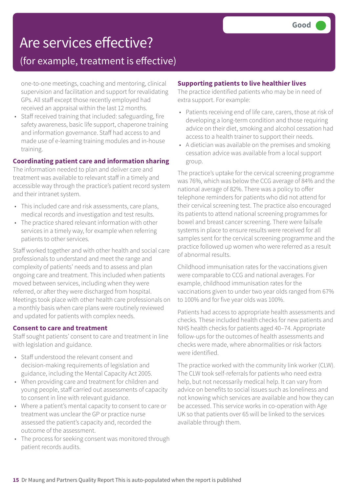## Are services effective?

### (for example, treatment is effective)

one-to-one meetings, coaching and mentoring, clinical supervision and facilitation and support for revalidating GPs. All staff except those recently employed had received an appraisal within the last 12 months.

• Staff received training that included: safeguarding, fire safety awareness, basic life support, chaperone training and information governance. Staff had access to and made use of e-learning training modules and in-house training.

### **Coordinating patient care and information sharing**

The information needed to plan and deliver care and treatment was available to relevant staff in a timely and accessible way through the practice's patient record system and their intranet system.

- This included care and risk assessments, care plans, medical records and investigation and test results.
- The practice shared relevant information with other services in a timely way, for example when referring patients to other services.

Staff worked together and with other health and social care professionals to understand and meet the range and complexity of patients' needs and to assess and plan ongoing care and treatment. This included when patients moved between services, including when they were referred, or after they were discharged from hospital. Meetings took place with other health care professionals on a monthly basis when care plans were routinely reviewed and updated for patients with complex needs.

#### **Consent to care and treatment**

Staff sought patients' consent to care and treatment in line with legislation and guidance.

- Staff understood the relevant consent and decision-making requirements of legislation and guidance, including the Mental Capacity Act 2005.
- When providing care and treatment for children and young people, staff carried out assessments of capacity to consent in line with relevant guidance.
- Where a patient's mental capacity to consent to care or treatment was unclear the GP or practice nurse assessed the patient's capacity and, recorded the outcome of the assessment.
- The process for seeking consent was monitored through patient records audits.

### **Supporting patients to live healthier lives**

The practice identified patients who may be in need of extra support. For example:

- Patients receiving end of life care, carers, those at risk of developing a long-term condition and those requiring advice on their diet, smoking and alcohol cessation had access to a health trainer to support their needs.
- A dietician was available on the premises and smoking cessation advice was available from a local support group.

The practice's uptake for the cervical screening programme was 76%, which was below the CCG average of 84% and the national average of 82%. There was a policy to offer telephone reminders for patients who did not attend for their cervical screening test. The practice also encouraged its patients to attend national screening programmes for bowel and breast cancer screening. There were failsafe systems in place to ensure results were received for all samples sent for the cervical screening programme and the practice followed up women who were referred as a result of abnormal results.

Childhood immunisation rates for the vaccinations given were comparable to CCG and national averages. For example, childhood immunisation rates for the vaccinations given to under two year olds ranged from 67% to 100% and for five year olds was 100%.

Patients had access to appropriate health assessments and checks. These included health checks for new patients and NHS health checks for patients aged 40–74. Appropriate follow-ups for the outcomes of health assessments and checks were made, where abnormalities or risk factors were identified.

The practice worked with the community link worker (CLW). The CLW took self-referrals for patients who need extra help, but not necessarily medical help. It can vary from advice on benefits to social issues such as loneliness and not knowing which services are available and how they can be accessed. This service works in co-operation with Age UK so that patients over 65 will be linked to the services available through them.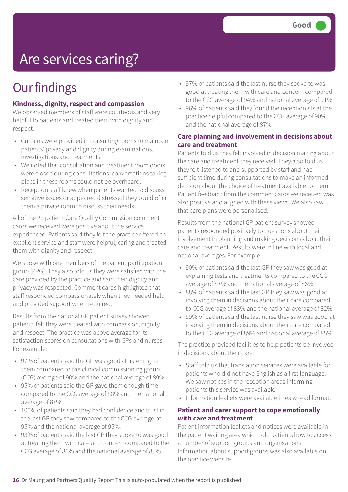# Are services caring?

## **Our findings**

### **Kindness, dignity, respect and compassion**

We observed members of staff were courteous and very helpful to patients and treated them with dignity and respect.

- Curtains were provided in consulting rooms to maintain patients' privacy and dignity during examinations, investigations and treatments.
- We noted that consultation and treatment room doors were closed during consultations; conversations taking place in these rooms could not be overheard.
- Reception staff knew when patients wanted to discuss sensitive issues or appeared distressed they could offer them a private room to discuss their needs.

All of the 22 patient Care Quality Commission comment cards we received were positive about the service experienced. Patients said they felt the practice offered an excellent service and staff were helpful, caring and treated them with dignity and respect.

We spoke with one members of the patient participation group (PPG). They also told us they were satisfied with the care provided by the practice and said their dignity and privacy was respected. Comment cards highlighted that staff responded compassionately when they needed help and provided support when required.

Results from the national GP patient survey showed patients felt they were treated with compassion, dignity and respect. The practice was above average for its satisfaction scores on consultations with GPs and nurses. For example:

- 97% of patients said the GP was good at listening to them compared to the clinical commissioning group (CCG) average of 90% and the national average of 89%.
- 95% of patients said the GP gave them enough time compared to the CCG average of 88% and the national average of 87%.
- 100% of patients said they had confidence and trust in the last GP they saw compared to the CCG average of 95% and the national average of 95%.
- 93% of patients said the last GP they spoke to was good at treating them with care and concern compared to the CCG average of 86% and the national average of 85%.
- 97% of patients said the last nurse they spoke to was good at treating them with care and concern compared to the CCG average of 94% and national average of 91%.
- 96% of patients said they found the receptionists at the practice helpful compared to the CCG average of 90% and the national average of 87%.

### **Care planning and involvement in decisions about care and treatment**

Patients told us they felt involved in decision making about the care and treatment they received. They also told us they felt listened to and supported by staff and had sufficient time during consultations to make an informed decision about the choice of treatment available to them. Patient feedback from the comment cards we received was also positive and aligned with these views. We also saw that care plans were personalised.

Results from the national GP patient survey showed patients responded positively to questions about their involvement in planning and making decisions about their care and treatment. Results were in line with local and national averages. For example:

- 90% of patients said the last GP they saw was good at explaining tests and treatments compared to the CCG average of 87% and the national average of 86%.
- 88% of patients said the last GP they saw was good at involving them in decisions about their care compared to CCG average of 83% and the national average of 82%.
- 89% of patients said the last nurse they saw was good at involving them in decisions about their care compared to the CCG average of 89% and national average of 85%.

The practice provided facilities to help patients be involved in decisions about their care:

- Staff told us that translation services were available for patients who did not have English as a first language. We saw notices in the reception areas informing patients this service was available.
- Information leaflets were available in easy read format.

#### **Patient and carer support to cope emotionally with care and treatment**

Patient information leaflets and notices were available in the patient waiting area which told patients how to access a number of support groups and organisations. Information about support groups was also available on the practice website.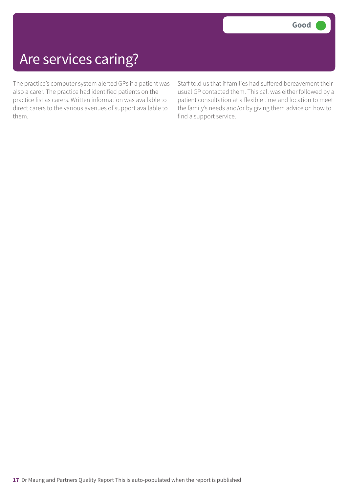## Are services caring?

The practice's computer system alerted GPs if a patient was also a carer. The practice had identified patients on the practice list as carers. Written information was available to direct carers to the various avenues of support available to them.

Staff told us that if families had suffered bereavement their usual GP contacted them. This call was either followed by a patient consultation at a flexible time and location to meet the family's needs and/or by giving them advice on how to find a support service.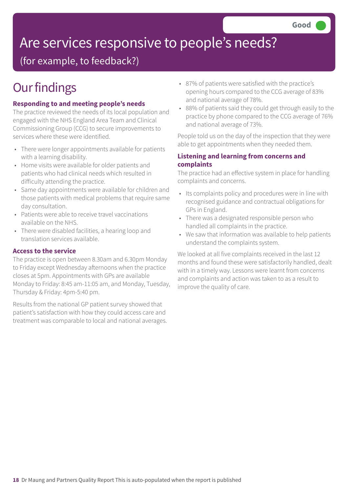# Are services responsive to people's needs?

(for example, to feedback?)

## **Our findings**

### **Responding to and meeting people's needs**

The practice reviewed the needs of its local population and engaged with the NHS England Area Team and Clinical Commissioning Group (CCG) to secure improvements to services where these were identified.

- There were longer appointments available for patients with a learning disability.
- Home visits were available for older patients and patients who had clinical needs which resulted in difficulty attending the practice.
- Same day appointments were available for children and those patients with medical problems that require same day consultation.
- Patients were able to receive travel vaccinations available on the NHS.
- There were disabled facilities, a hearing loop and translation services available.

### **Access to the service**

The practice is open between 8.30am and 6.30pm Monday to Friday except Wednesday afternoons when the practice closes at 5pm. Appointments with GPs are available Monday to Friday: 8:45 am-11:05 am, and Monday, Tuesday, Thursday & Friday: 4pm-5:40 pm.

Results from the national GP patient survey showed that patient's satisfaction with how they could access care and treatment was comparable to local and national averages.

- 87% of patients were satisfied with the practice's opening hours compared to the CCG average of 83% and national average of 78%.
- 88% of patients said they could get through easily to the practice by phone compared to the CCG average of 76% and national average of 73%.

People told us on the day of the inspection that they were able to get appointments when they needed them.

### **Listening and learning from concerns and complaints**

The practice had an effective system in place for handling complaints and concerns.

- Its complaints policy and procedures were in line with recognised guidance and contractual obligations for GPs in England.
- There was a designated responsible person who handled all complaints in the practice.
- We saw that information was available to help patients understand the complaints system.

We looked at all five complaints received in the last 12 months and found these were satisfactorily handled, dealt with in a timely way. Lessons were learnt from concerns and complaints and action was taken to as a result to improve the quality of care.